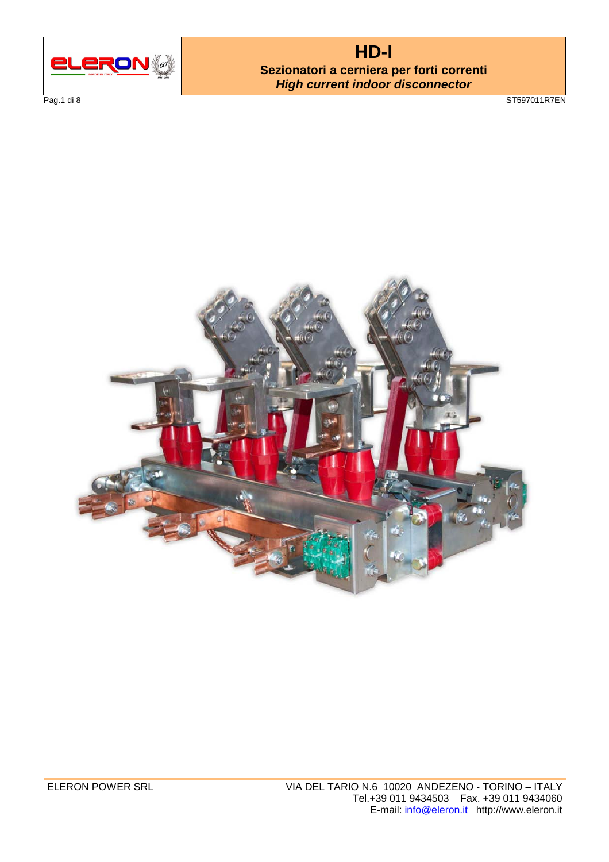

Pag.1 di 8 ST597011R7EN

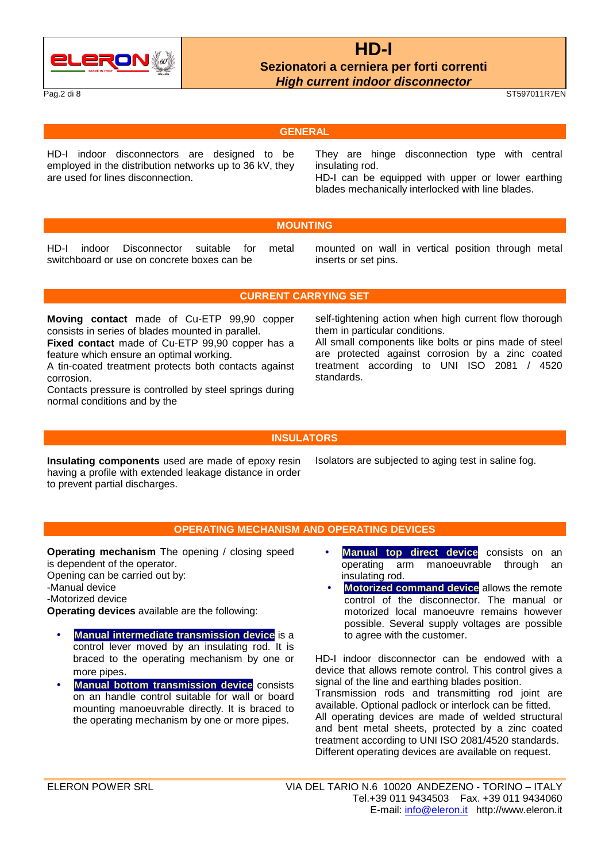

# **HD-I**

## **Sezionatori a cerniera per forti correnti High current indoor disconnector**

Pag.2 di 8 ST597011R7EN

### **GENERAL**

HD-I indoor disconnectors are designed to be employed in the distribution networks up to 36 kV, they are used for lines disconnection.

 They are hinge disconnection type with central insulating rod.

HD-I can be equipped with upper or lower earthing blades mechanically interlocked with line blades.

#### **MOUNTING**

HD-I indoor Disconnector suitable for metal switchboard or use on concrete boxes can be

 mounted on wall in vertical position through metal inserts or set pins.

#### **CURRENT CARRYING SET**

**Moving contact** made of Cu-ETP 99,90 copper consists in series of blades mounted in parallel.

**Fixed contact** made of Cu-ETP 99,90 copper has a feature which ensure an optimal working.

A tin-coated treatment protects both contacts against corrosion.

Contacts pressure is controlled by steel springs during normal conditions and by the

self-tightening action when high current flow thorough

them in particular conditions. All small components like bolts or pins made of steel are protected against corrosion by a zinc coated treatment according to UNI ISO 2081 / 4520 standards.

#### **INSULATORS**

**Insulating components** used are made of epoxy resin having a profile with extended leakage distance in order to prevent partial discharges.

Isolators are subjected to aging test in saline fog.

#### **OPERATING MECHANISM AND OPERATING DEVICES**

**Operating mechanism** The opening / closing speed is dependent of the operator. Opening can be carried out by:

-Manual device

-Motorized device

**Operating devices** available are the following:

- **Manual intermediate transmission device** is a control lever moved by an insulating rod. It is braced to the operating mechanism by one or more pipes.
- **Manual bottom transmission device** consists on an handle control suitable for wall or board mounting manoeuvrable directly. It is braced to the operating mechanism by one or more pipes.
- **Manual top direct device** consists on an operating arm manoeuvrable through an insulating rod.
- **Motorized command device allows the remote** control of the disconnector. The manual or motorized local manoeuvre remains however possible. Several supply voltages are possible to agree with the customer.

HD-I indoor disconnector can be endowed with a device that allows remote control. This control gives a signal of the line and earthing blades position. Transmission rods and transmitting rod joint are available. Optional padlock or interlock can be fitted. All operating devices are made of welded structural and bent metal sheets, protected by a zinc coated treatment according to UNI ISO 2081/4520 standards. Different operating devices are available on request.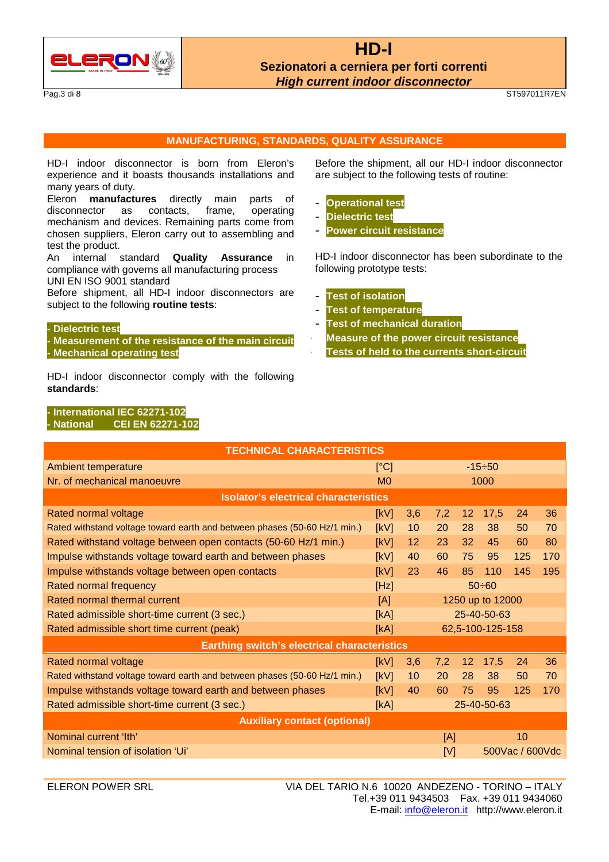

Pag.3 di 8 ST597011R7EN

### **MANUFACTURING, STANDARDS, QUALITY ASSURANCE**

HD-I indoor disconnector is born from Eleron's experience and it boasts thousands installations and many years of duty.

Eleron **manufactures** directly main parts of disconnector as contacts, frame, operating mechanism and devices. Remaining parts come from chosen suppliers, Eleron carry out to assembling and test the product.

An internal standard **Quality Assurance** in compliance with governs all manufacturing process UNI EN ISO 9001 standard

Before shipment, all HD-I indoor disconnectors are subject to the following **routine tests**:

#### **- Dielectric test**

**- Measurement of the resistance of the main circuit - Mechanical operating test**

HD-I indoor disconnector comply with the following **standards**:

### **- International IEC 62271-102 - National CEI EN 62271-102**

Before the shipment, all our HD-I indoor disconnector are subject to the following tests of routine:

- **Operational test**
- **Dielectric test**
- **Power circuit resistance**

HD-I indoor disconnector has been subordinate to the following prototype tests:

- **Test of isolation**
- **Test of temperature**
- **Test of mechanical duration**
- **Measure of the power circuit resistance**
- **Tests of held to the currents short-circuit**

| <b>TECHNICAL CHARACTERISTICS</b>                                          |                |                        |                  |                 |      |     |     |  |  |  |  |  |  |
|---------------------------------------------------------------------------|----------------|------------------------|------------------|-----------------|------|-----|-----|--|--|--|--|--|--|
| Ambient temperature                                                       | [°C]           | $-15 - 50$             |                  |                 |      |     |     |  |  |  |  |  |  |
| Nr. of mechanical manoeuvre                                               | M <sub>0</sub> |                        |                  |                 | 1000 |     |     |  |  |  |  |  |  |
| <b>Isolator's electrical characteristics</b>                              |                |                        |                  |                 |      |     |     |  |  |  |  |  |  |
| Rated normal voltage                                                      | [KV]           | 3,6                    | 7,2              | 12 <sup>2</sup> | 17,5 | 24  | 36  |  |  |  |  |  |  |
| Rated withstand voltage toward earth and between phases (50-60 Hz/1 min.) | [kV]           | 10 <sup>°</sup>        | 20               | 28              | 38   | 50  | 70  |  |  |  |  |  |  |
| Rated withstand voltage between open contacts (50-60 Hz/1 min.)           | [kV]           | $12 \overline{ }$      | 23               | 32 <sup>2</sup> | 45   | 60  | 80  |  |  |  |  |  |  |
| Impulse withstands voltage toward earth and between phases                | [kV]           | 40                     | 60               | 75              | 95   | 125 | 170 |  |  |  |  |  |  |
| Impulse withstands voltage between open contacts                          | [kV]           | 23                     | 46               | 85              | 110  | 145 | 195 |  |  |  |  |  |  |
| Rated normal frequency                                                    | [Hz]           | $50 - 60$              |                  |                 |      |     |     |  |  |  |  |  |  |
| Rated normal thermal current                                              | [A]            |                        | 1250 up to 12000 |                 |      |     |     |  |  |  |  |  |  |
| Rated admissible short-time current (3 sec.)                              | [KA]           |                        | 25-40-50-63      |                 |      |     |     |  |  |  |  |  |  |
| Rated admissible short time current (peak)                                | [kA]           |                        | 62,5-100-125-158 |                 |      |     |     |  |  |  |  |  |  |
| <b>Earthing switch's electrical characteristics</b>                       |                |                        |                  |                 |      |     |     |  |  |  |  |  |  |
| Rated normal voltage                                                      | [KV]           | 3,6                    | 7,2              | 12 <sub>2</sub> | 17,5 | 24  | 36  |  |  |  |  |  |  |
| Rated withstand voltage toward earth and between phases (50-60 Hz/1 min.) | [kV]           | 10                     | 20               | 28              | 38   | 50  | 70  |  |  |  |  |  |  |
| Impulse withstands voltage toward earth and between phases                | [kV]           | 40                     | 60               | 75              | 95   | 125 | 170 |  |  |  |  |  |  |
| Rated admissible short-time current (3 sec.)                              |                | 25-40-50-63            |                  |                 |      |     |     |  |  |  |  |  |  |
| <b>Auxiliary contact (optional)</b>                                       |                |                        |                  |                 |      |     |     |  |  |  |  |  |  |
| Nominal current 'Ith'                                                     |                | 10<br>[A]              |                  |                 |      |     |     |  |  |  |  |  |  |
| Nominal tension of isolation 'Ui'                                         |                | 500Vac / 600Vdc<br>[V] |                  |                 |      |     |     |  |  |  |  |  |  |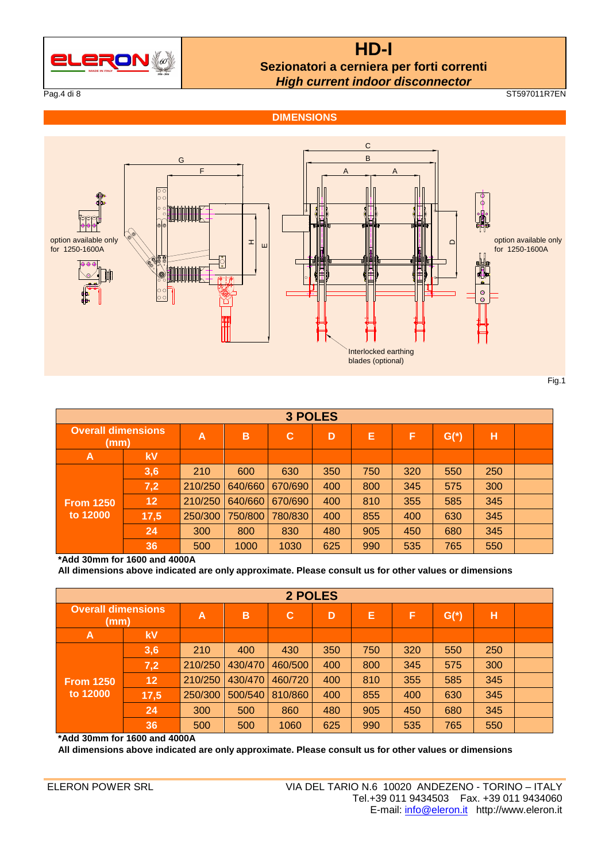

# **HD-I**

# **Sezionatori a cerniera per forti correnti High current indoor disconnector**

Pag.4 di 8 ST597011R7EN

**DIMENSIONS** 



Fig.1

| <b>3 POLES</b>                    |      |         |         |         |     |     |     |        |     |  |
|-----------------------------------|------|---------|---------|---------|-----|-----|-----|--------|-----|--|
| <b>Overall dimensions</b><br>(mm) |      | A       | B       | C       | D   | Е   | F   | $G(*)$ | н   |  |
| A                                 | kV   |         |         |         |     |     |     |        |     |  |
| <b>From 1250</b><br>to 12000      | 3,6  | 210     | 600     | 630     | 350 | 750 | 320 | 550    | 250 |  |
|                                   | 7,2  | 210/250 | 640/660 | 670/690 | 400 | 800 | 345 | 575    | 300 |  |
|                                   | 12   | 210/250 | 640/660 | 670/690 | 400 | 810 | 355 | 585    | 345 |  |
|                                   | 17,5 | 250/300 | 750/800 | 780/830 | 400 | 855 | 400 | 630    | 345 |  |
|                                   | 24   | 300     | 800     | 830     | 480 | 905 | 450 | 680    | 345 |  |
|                                   | 36   | 500     | 1000    | 1030    | 625 | 990 | 535 | 765    | 550 |  |

**\*Add 30mm for 1600 and 4000A All dimensions above indicated are only approximate. Please consult us for other values or dimensions** 

| 2 POLES                           |      |         |         |         |     |     |     |        |     |  |
|-----------------------------------|------|---------|---------|---------|-----|-----|-----|--------|-----|--|
| <b>Overall dimensions</b><br>(mm) |      | A       | B       | C       | D   | Е   | F   | $G(*)$ | н   |  |
| A                                 | kV   |         |         |         |     |     |     |        |     |  |
| From 1250<br>to 12000             | 3,6  | 210     | 400     | 430     | 350 | 750 | 320 | 550    | 250 |  |
|                                   | 7,2  | 210/250 | 430/470 | 460/500 | 400 | 800 | 345 | 575    | 300 |  |
|                                   | 12   | 210/250 | 430/470 | 460/720 | 400 | 810 | 355 | 585    | 345 |  |
|                                   | 17,5 | 250/300 | 500/540 | 810/860 | 400 | 855 | 400 | 630    | 345 |  |
|                                   | 24   | 300     | 500     | 860     | 480 | 905 | 450 | 680    | 345 |  |
|                                   | 36   | 500     | 500     | 1060    | 625 | 990 | 535 | 765    | 550 |  |

### **\*Add 30mm for 1600 and 4000A**

**All dimensions above indicated are only approximate. Please consult us for other values or dimensions**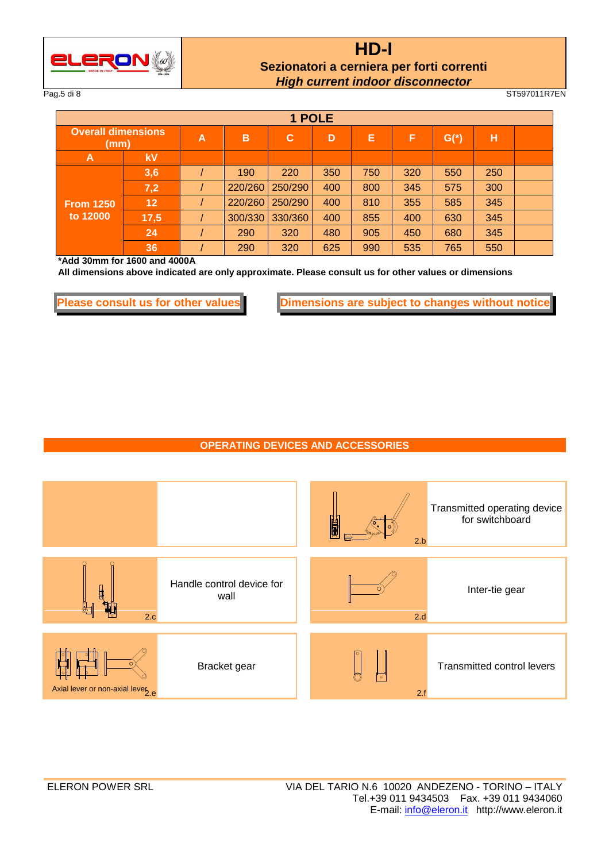

Pag.5 di 8 ST597011R7EN

| 1 POLE                            |                   |                |         |         |     |     |     |        |     |  |  |
|-----------------------------------|-------------------|----------------|---------|---------|-----|-----|-----|--------|-----|--|--|
| <b>Overall dimensions</b><br>(mm) |                   | $\overline{A}$ | B       | C       | D   | Е   | F   | $G(*)$ | н   |  |  |
| A                                 | kV                |                |         |         |     |     |     |        |     |  |  |
| <b>From 1250</b><br>to 12000      | 3,6               |                | 190     | 220     | 350 | 750 | 320 | 550    | 250 |  |  |
|                                   | 7,2               |                | 220/260 | 250/290 | 400 | 800 | 345 | 575    | 300 |  |  |
|                                   | $12 \overline{ }$ |                | 220/260 | 250/290 | 400 | 810 | 355 | 585    | 345 |  |  |
|                                   | 17,5              |                | 300/330 | 330/360 | 400 | 855 | 400 | 630    | 345 |  |  |
|                                   | 24                |                | 290     | 320     | 480 | 905 | 450 | 680    | 345 |  |  |
|                                   | 36                |                | 290     | 320     | 625 | 990 | 535 | 765    | 550 |  |  |

**\*Add 30mm for 1600 and 4000A** 

**All dimensions above indicated are only approximate. Please consult us for other values or dimensions** 

Please consult us for other values **Dimensions are subject to changes without notice** 

## **OPERATING DEVICES AND ACCESSORIES**

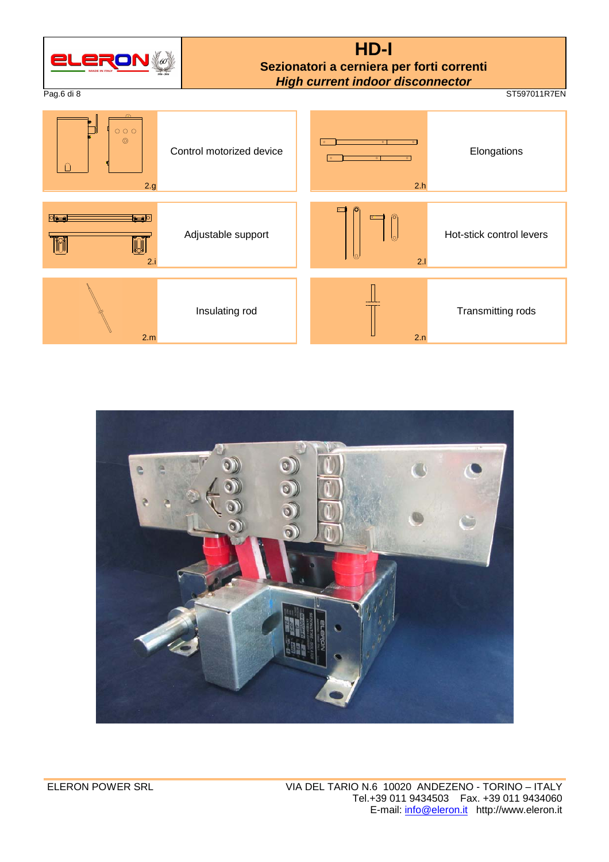

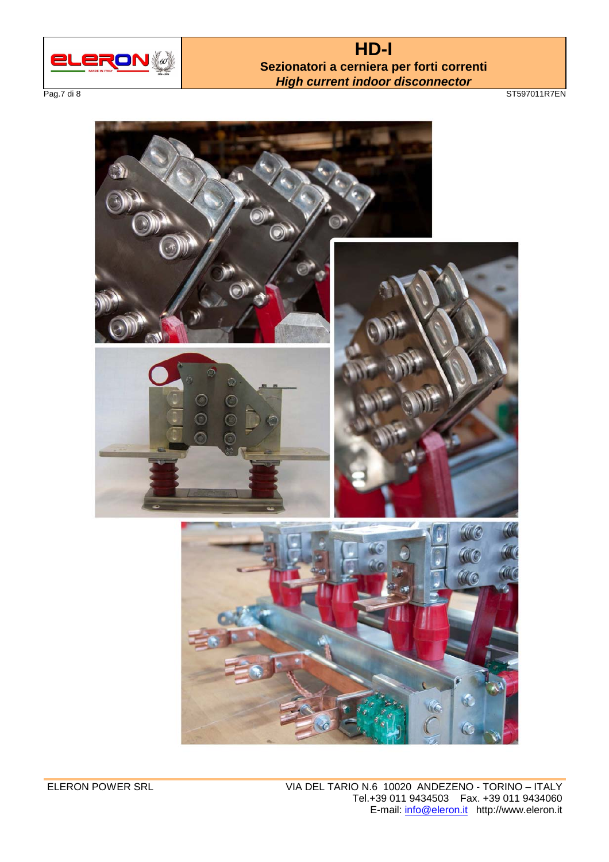

Pag.7 di 8 ST597011R7EN